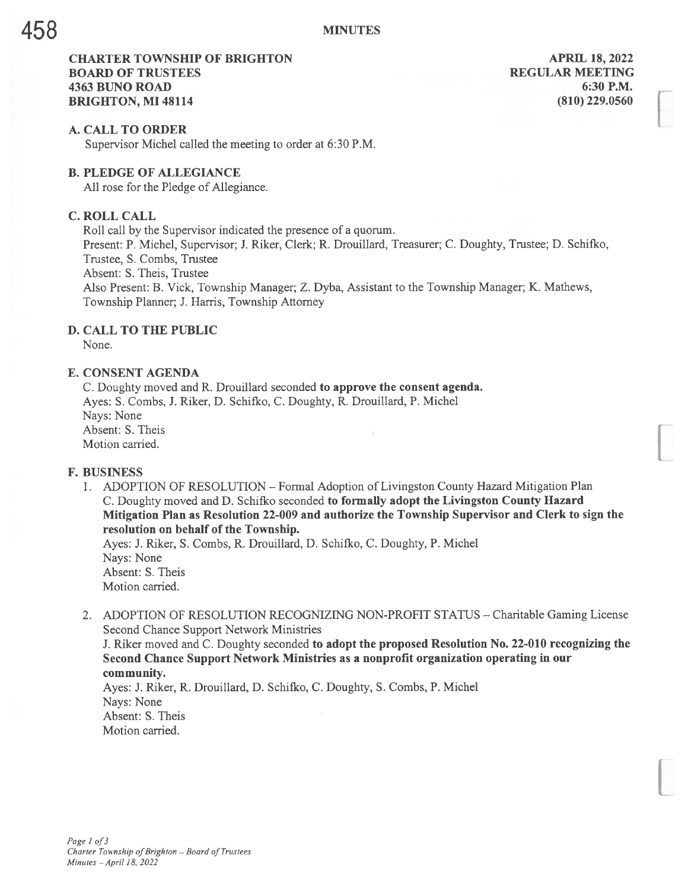# CHARTER TOWNSHIP OF BRIGHTON APRIL 18, 2022 **BOARD OF TRUSTEES REGULAR MEETING** 4363 BUNO ROAD 6:30 P.M. **BRIGHTON, MI 48114** (810) 229.0560

### A. CALL TO ORDER

Supervisor Michel called the meeting to order at 6:30 P.M.

# B. PLEDGE OF ALLEGIANCE

All rose for the Pledge of Allegiance.

# C. ROLL CALL

Roll call by the Supervisor indicated the presence of <sup>a</sup> quorum.

Present: P. Michel, Supervisor; J. Riker, Clerk; R. Drouillard, Treasurer; C. Doughty, Trustee; D. Schifko, Trustee, S. Combs, Trustee

Absent: S. Theis, Trustee

Also Present: B. Vick, Township Manager; Z. Dyba, Assistant to the Township Manager; K. Mathews, Township Planner; J. Harris, Township Attorney

# D. CALL TO THE PUBLIC

None.

## E. CONSENT AGENDA

C. Doughty moved and R. Drouillard seconded to approve the consent agenda. Ayes: S. Combs, J. Riker, D. Schifko, C. Doughty, R. Drouillard, P. Michel Nays: None Absent: S. Theis Motion carried.

## F. BUSINESS

I. ADOPTION OF RESOLUTION — Formal Adoption of Livingston County Hazard Mitigation Plan C. Doughty moved and D. Schifico seconded to formally adopt the Livingston County Hazard Mitigation Plan as Resolution 22-009 and authorize the Township Supervisor and Clerk to sign the resolution on behalf of the Township.

Ayes: 3. Riker, S. Combs, R. Drouillard, D. Schifko, C. Doughty, P. Michel Nays: None Absent: S. Theis Motion carried.

2. ADOPTION OF RESOLUTION RECOGNIZING NON-PROFIT STATUS - Charitable Gaming License Second Chance Support Network Ministries

J. Riker moved and C. Doughty seconded to adopt the proposed Resolution No. 22-010 recognizing the Second Chance Support Network Ministries as a nonprofit organization operating in our community.

Ayes: J. Riker, R. Drouillard, D. Schifko, C. Doughty, S. Combs, P. Michel Nays: None Absent: S. Theis Motion carried.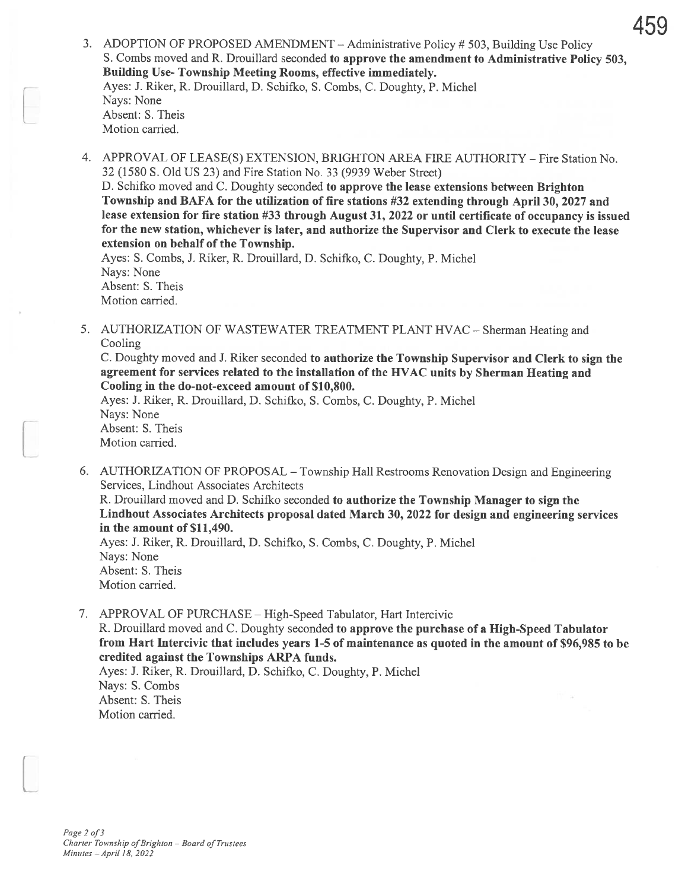- 459
- 3. ADOPTION OF PROPOSED AMENDMENT Administrative Policy # 503, Building Use Policy S. Combs moved and R. Drouillard seconded to approve the amendment to Administrative Policy 503, Building Use- Township Meeting Rooms, effective immediately. Ayes: J. Riker, R. Drouillard, D. Schifko, S. Combs, C. Doughty, P. Michel Nays: None Absent: S. Theis Motion carried.
- 4. APPROVAL OF LEASE(S) EXTENSION, BRIGHTON AREA FIRE AUTHORITY -Fire Station No. 32 (1580 S. Old US 23) and Fire Station No. 33 (9939 Weber Street)

D. Schifko moved and C. Doughty seconded to approve the lease extensions between Brighton Township and BAFA for the utilization of fire stations #32 extending through April 30, 2027 and lease extension for fire station #33 through August 31, 2022 or until certificate of occupancy is issued for the new station, whichever is later, and authorize the Supervisor and Clerk to execute the lease extension on behalf of the Township.

Ayes: S. Combs, J. Riker, R. Drouillard, D. Schifko, C. Doughty, P. Michel Nays: None Absent: S. Theis Motion carried.

5. AUTHORIZATION OF WASTEWATER TREATMENT PLANT HVAC - Sherman Heating and Cooling

C. Doughty moved and J. Riker seconded to authorize the Township Supervisor and Clerk to sign the agreement for services related to the installation of the HVAC units by Sherman Heating and Cooling in the do-not-exceed amount of \$10,800.

Ayes: J. Riker, R. Drouillard, D. Schifko, S. Combs, C. Doughty, P. Michel Nays: None Absent: S. Theis Motion carried.

6. AUTHORIZATION OF PROPOSAL — Township Hall Restrooms Renovation Design and Engineering Services, Lindhout Associates Architects

R. Drouillard moved and D. Schifko seconded to authorize the Township Manager to sign the Lindhout Associates Architects proposal dated March 30, 2022 for design and engineering services in the amount of \$11,490.

Ayes: J. Riker, R. Drouillard, D. Schifko, S. Combs, C. Doughty, P. Michel Nays: None Absent: S. Theis Motion carried.

7. APPROVAL OF PURCHASE — High-Speed Tabulator, Hart Intercivic R. Drouillard moved and C. Doughty seconded to approve the purchase of a High-Speed Tabulator from Hart Intercivic that includes years 1-5 of maintenance as quoted in the amount of \$96,985 to be credited against the Townships ARPA funds. Ayes: J. Riker, R. Drouillard, D. Schifko, C. Doughty, P. Michel Nays: S. Combs

Absent: S. Theis Motion carried.